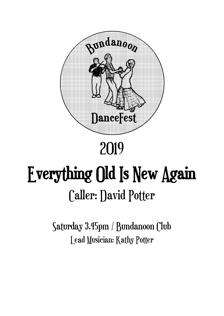

# 2019

# Everything Old Is New Again Caller: David Potter

Saturday 3.45pm / Bundanoon Club Lead Musician: Kathy Potter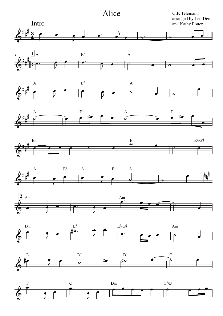Alice

G.P. Telemann arranged by Leo Dent and Kathy Potter



















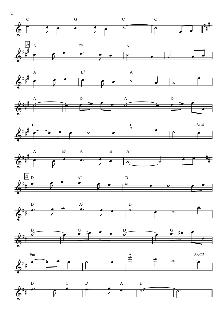



















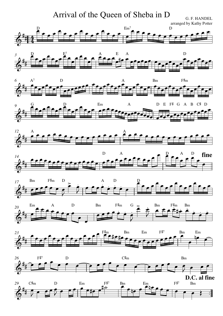#### Arrival of the Queen of Sheba in D **G. F. HANDEL**

arranged by Kathy Potter



















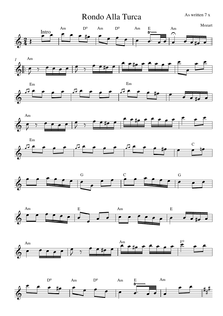Rondo Alla Turca As written 7 x

















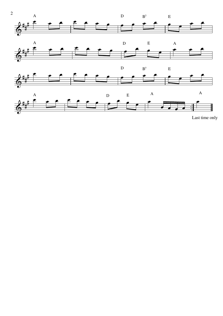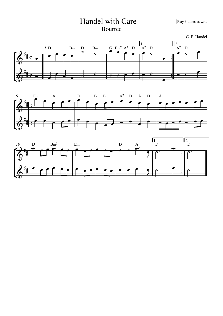## Handel with Care Play 3 times as writ

Bourree

G. F. Handel





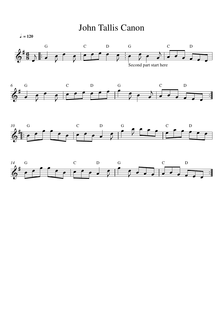

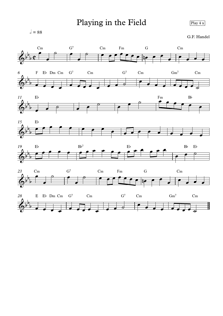### Playing in the Field  $\sqrt{p_{\text{lay 4 x}}$

 $\sqrt{ } = 88$ 

G.F. Handel











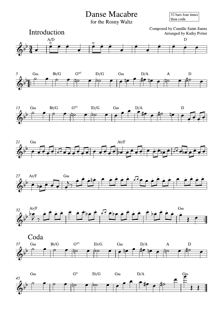**Danse Macabre** 

32 bars four times then coda

for the Rosny Waltz















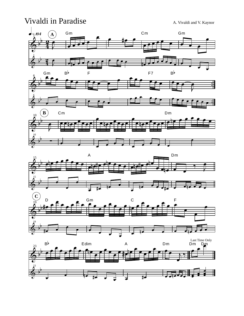### Vivaldi in Paradise A. Vivaldi and V. Kaynor